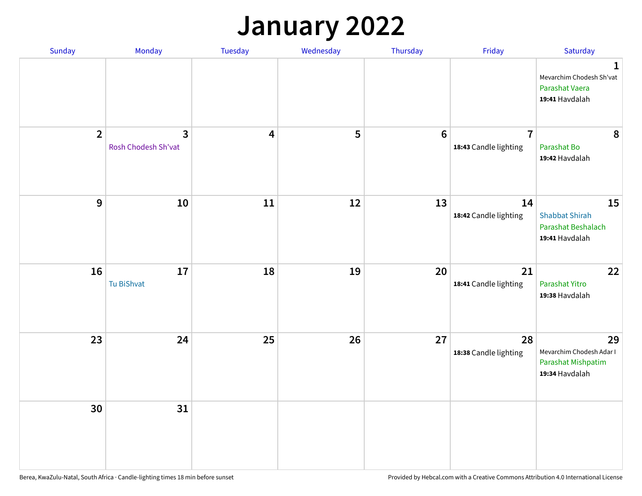#### **January 2022**

| Sunday         | Monday                              | Tuesday                 | Wednesday | Thursday        | Friday                                  | Saturday                                                                    |
|----------------|-------------------------------------|-------------------------|-----------|-----------------|-----------------------------------------|-----------------------------------------------------------------------------|
|                |                                     |                         |           |                 |                                         | $\mathbf 1$<br>Mevarchim Chodesh Sh'vat<br>Parashat Vaera<br>19:41 Havdalah |
| $\overline{2}$ | $\mathbf{3}$<br>Rosh Chodesh Sh'vat | $\overline{\mathbf{4}}$ | 5         | $6\phantom{1}6$ | $\overline{7}$<br>18:43 Candle lighting | 8<br>Parashat Bo<br>19:42 Havdalah                                          |
| 9              | 10                                  | 11                      | 12        | 13              | 14<br>18:42 Candle lighting             | 15<br><b>Shabbat Shirah</b><br>Parashat Beshalach<br>19:41 Havdalah         |
| 16             | 17<br>Tu BiShvat                    | 18                      | 19        | 20              | 21<br>18:41 Candle lighting             | 22<br>Parashat Yitro<br>19:38 Havdalah                                      |
| 23             | 24                                  | 25                      | 26        | 27              | 28<br>18:38 Candle lighting             | 29<br>Mevarchim Chodesh Adar I<br>Parashat Mishpatim<br>19:34 Havdalah      |
| 30             | 31                                  |                         |           |                 |                                         |                                                                             |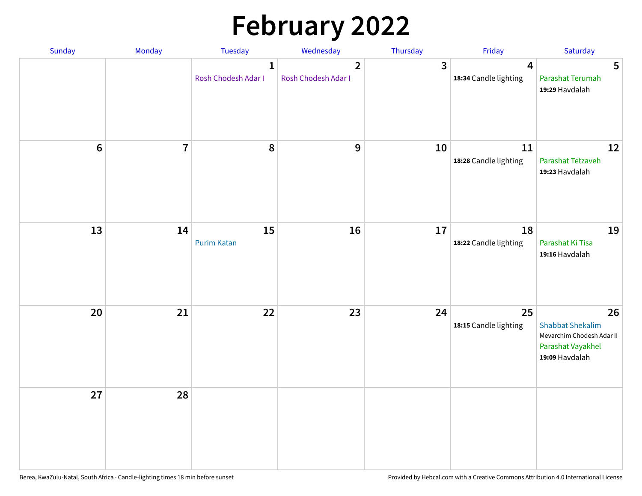# **February 2022**

| Sunday | Monday                  | <b>Tuesday</b>                      | Wednesday                             | Thursday | Friday                                           | Saturday                                                                                          |
|--------|-------------------------|-------------------------------------|---------------------------------------|----------|--------------------------------------------------|---------------------------------------------------------------------------------------------------|
|        |                         | $\mathbf{1}$<br>Rosh Chodesh Adar I | $\overline{2}$<br>Rosh Chodesh Adar I | 3        | $\overline{\mathbf{4}}$<br>18:34 Candle lighting | 5<br>Parashat Terumah<br>19:29 Havdalah                                                           |
| $6\,$  | $\overline{\mathbf{7}}$ | 8                                   | 9                                     | 10       | 11<br>18:28 Candle lighting                      | 12<br>Parashat Tetzaveh<br>19:23 Havdalah                                                         |
| 13     | 14                      | 15<br><b>Purim Katan</b>            | 16                                    | 17       | 18<br>18:22 Candle lighting                      | 19<br>Parashat Ki Tisa<br>19:16 Havdalah                                                          |
| 20     | 21                      | 22                                  | 23                                    | 24       | 25<br>18:15 Candle lighting                      | 26<br><b>Shabbat Shekalim</b><br>Mevarchim Chodesh Adar II<br>Parashat Vayakhel<br>19:09 Havdalah |
| 27     | 28                      |                                     |                                       |          |                                                  |                                                                                                   |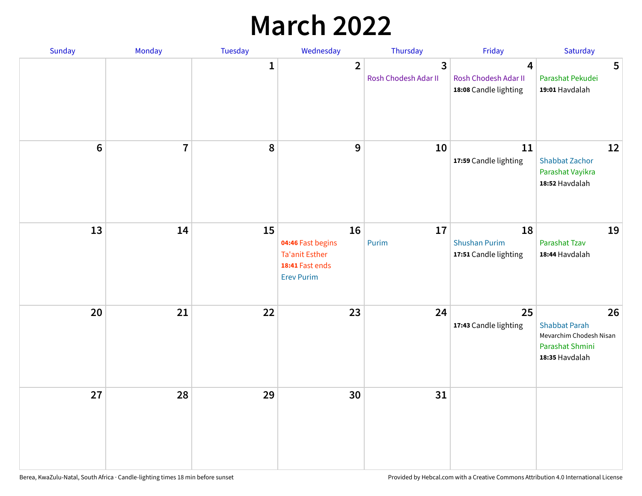## **March 2022**

| Sunday           | Monday         | <b>Tuesday</b> | Wednesday                                                                                | Thursday                  | Friday                                              | Saturday                                                                                   |
|------------------|----------------|----------------|------------------------------------------------------------------------------------------|---------------------------|-----------------------------------------------------|--------------------------------------------------------------------------------------------|
|                  |                | $\mathbf{1}$   | $\overline{2}$                                                                           | 3<br>Rosh Chodesh Adar II | 4<br>Rosh Chodesh Adar II<br>18:08 Candle lighting  | 5<br>Parashat Pekudei<br>19:01 Havdalah                                                    |
| $\boldsymbol{6}$ | $\overline{7}$ | 8              | 9                                                                                        | 10                        | 11<br>17:59 Candle lighting                         | 12<br><b>Shabbat Zachor</b><br>Parashat Vayikra<br>18:52 Havdalah                          |
| 13               | 14             | 15             | 16<br>04:46 Fast begins<br><b>Ta'anit Esther</b><br>18:41 Fast ends<br><b>Erev Purim</b> | 17<br>Purim               | 18<br><b>Shushan Purim</b><br>17:51 Candle lighting | 19<br>Parashat Tzav<br>18:44 Havdalah                                                      |
| 20               | 21             | 22             | 23                                                                                       | 24                        | 25<br>17:43 Candle lighting                         | 26<br><b>Shabbat Parah</b><br>Mevarchim Chodesh Nisan<br>Parashat Shmini<br>18:35 Havdalah |
| 27               | 28             | 29             | 30                                                                                       | 31                        |                                                     |                                                                                            |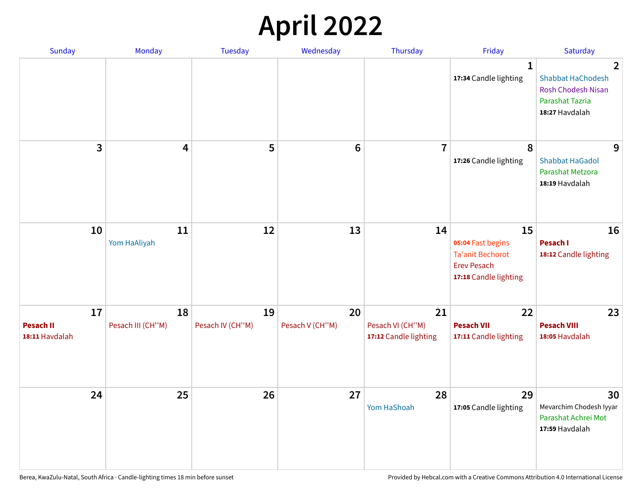## **April 2022**

| Sunday                                   | Monday                  | <b>Tuesday</b>         | Wednesday             | Thursday                                        | Friday                                                                                            | Saturday                                                                                                            |
|------------------------------------------|-------------------------|------------------------|-----------------------|-------------------------------------------------|---------------------------------------------------------------------------------------------------|---------------------------------------------------------------------------------------------------------------------|
|                                          |                         |                        |                       |                                                 | $\mathbf{1}$<br>17:34 Candle lighting                                                             | $\overline{2}$<br><b>Shabbat HaChodesh</b><br><b>Rosh Chodesh Nisan</b><br><b>Parashat Tazria</b><br>18:27 Havdalah |
| 3                                        | $\overline{4}$          | 5                      | $6\phantom{1}6$       | $\overline{7}$                                  | 8<br>17:26 Candle lighting                                                                        | 9<br><b>Shabbat HaGadol</b><br>Parashat Metzora<br>18:19 Havdalah                                                   |
| 10                                       | 11<br>Yom HaAliyah      | 12                     | 13                    | 14                                              | 15<br>05:04 Fast begins<br><b>Ta'anit Bechorot</b><br><b>Erev Pesach</b><br>17:18 Candle lighting | 16<br>Pesach I<br>18:12 Candle lighting                                                                             |
| 17<br><b>Pesach II</b><br>18:11 Havdalah | 18<br>Pesach III (CH"M) | 19<br>Pesach IV (CH"M) | 20<br>Pesach V (CH"M) | 21<br>Pesach VI (CH"M)<br>17:12 Candle lighting | 22<br><b>Pesach VII</b><br>17:11 Candle lighting                                                  | 23<br><b>Pesach VIII</b><br>18:05 Havdalah                                                                          |
| 24                                       | 25                      | 26                     | 27                    | 28<br>Yom HaShoah                               | 29<br>17:05 Candle lighting                                                                       | 30<br>Mevarchim Chodesh Iyyar<br>Parashat Achrei Mot<br>17:59 Havdalah                                              |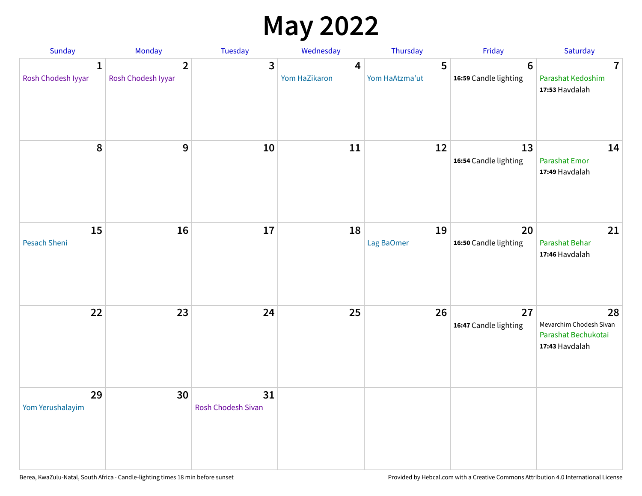## **May 2022**

| Sunday                  | Monday                               | Tuesday                         | Wednesday          | Thursday            | Friday                                  | Saturday                                                               |
|-------------------------|--------------------------------------|---------------------------------|--------------------|---------------------|-----------------------------------------|------------------------------------------------------------------------|
| 1<br>Rosh Chodesh Iyyar | $\overline{2}$<br>Rosh Chodesh Iyyar | 3                               | 4<br>Yom HaZikaron | 5<br>Yom HaAtzma'ut | $6\phantom{1}$<br>16:59 Candle lighting | $\overline{7}$<br>Parashat Kedoshim<br>17:53 Havdalah                  |
| $\pmb{8}$               | $\mathbf{9}$                         | 10                              | 11                 | 12                  | 13<br>16:54 Candle lighting             | 14<br><b>Parashat Emor</b><br>17:49 Havdalah                           |
| 15<br>Pesach Sheni      | 16                                   | 17                              | 18                 | 19<br>Lag BaOmer    | 20<br>16:50 Candle lighting             | 21<br>Parashat Behar<br>17:46 Havdalah                                 |
| 22                      | 23                                   | 24                              | 25                 | 26                  | 27<br>16:47 Candle lighting             | 28<br>Mevarchim Chodesh Sivan<br>Parashat Bechukotai<br>17:43 Havdalah |
| 29<br>Yom Yerushalayim  | 30                                   | 31<br><b>Rosh Chodesh Sivan</b> |                    |                     |                                         |                                                                        |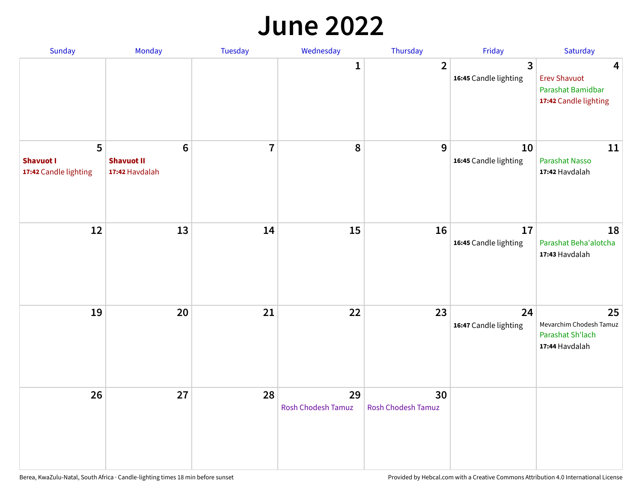#### **June 2022**

| Sunday                                         | Monday                                                | Tuesday        | Wednesday                       | Thursday                        | Friday                      | Saturday                                                               |
|------------------------------------------------|-------------------------------------------------------|----------------|---------------------------------|---------------------------------|-----------------------------|------------------------------------------------------------------------|
|                                                |                                                       |                | 1                               | $\overline{2}$                  | 3<br>16:45 Candle lighting  | 4<br><b>Erev Shavuot</b><br>Parashat Bamidbar<br>17:42 Candle lighting |
| 5<br><b>Shavuot I</b><br>17:42 Candle lighting | $6\phantom{1}$<br><b>Shavuot II</b><br>17:42 Havdalah | $\overline{7}$ | 8                               | 9                               | 10<br>16:45 Candle lighting | 11<br><b>Parashat Nasso</b><br>17:42 Havdalah                          |
| 12                                             | 13                                                    | 14             | 15                              | 16                              | 17<br>16:45 Candle lighting | 18<br>Parashat Beha'alotcha<br>17:43 Havdalah                          |
| 19                                             | 20                                                    | 21             | 22                              | 23                              | 24<br>16:47 Candle lighting | 25<br>Mevarchim Chodesh Tamuz<br>Parashat Sh'lach<br>17:44 Havdalah    |
| 26                                             | 27                                                    | 28             | 29<br><b>Rosh Chodesh Tamuz</b> | 30<br><b>Rosh Chodesh Tamuz</b> |                             |                                                                        |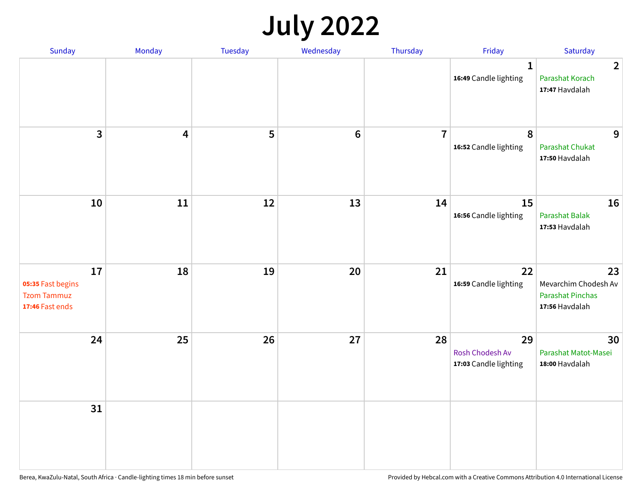## **July 2022**

| Sunday                                                           | Monday                  | Tuesday | Wednesday      | Thursday       | Friday                                         | Saturday                                                                |
|------------------------------------------------------------------|-------------------------|---------|----------------|----------------|------------------------------------------------|-------------------------------------------------------------------------|
|                                                                  |                         |         |                |                | $\mathbf{1}$<br>16:49 Candle lighting          | $\overline{2}$<br>Parashat Korach<br>17:47 Havdalah                     |
| $\mathbf{3}$                                                     | $\overline{\mathbf{4}}$ | 5       | $6\phantom{1}$ | $\overline{7}$ | 8<br>16:52 Candle lighting                     | 9<br>Parashat Chukat<br>17:50 Havdalah                                  |
| 10                                                               | 11                      | 12      | 13             | 14             | 15<br>16:56 Candle lighting                    | 16<br><b>Parashat Balak</b><br>17:53 Havdalah                           |
| 17<br>05:35 Fast begins<br><b>Tzom Tammuz</b><br>17:46 Fast ends | 18                      | 19      | 20             | 21             | 22<br>16:59 Candle lighting                    | 23<br>Mevarchim Chodesh Av<br><b>Parashat Pinchas</b><br>17:56 Havdalah |
| 24                                                               | 25                      | 26      | 27             | 28             | 29<br>Rosh Chodesh Av<br>17:03 Candle lighting | 30<br>Parashat Matot-Masei<br>18:00 Havdalah                            |
| 31                                                               |                         |         |                |                |                                                |                                                                         |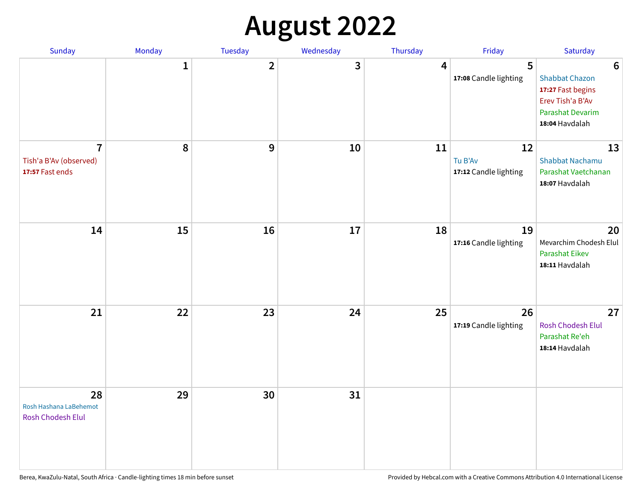## **August 2022**

| Sunday                                                      | Monday       | Tuesday        | Wednesday | Thursday | Friday                                 | Saturday                                                                                                                |
|-------------------------------------------------------------|--------------|----------------|-----------|----------|----------------------------------------|-------------------------------------------------------------------------------------------------------------------------|
|                                                             | $\mathbf{1}$ | $\overline{2}$ | 3         | 4        | 5<br>17:08 Candle lighting             | $6\phantom{1}6$<br><b>Shabbat Chazon</b><br>17:27 Fast begins<br>Erev Tish'a B'Av<br>Parashat Devarim<br>18:04 Havdalah |
| $\overline{7}$<br>Tish'a B'Av (observed)<br>17:57 Fast ends | 8            | 9              | 10        | 11       | 12<br>Tu B'Av<br>17:12 Candle lighting | 13<br><b>Shabbat Nachamu</b><br>Parashat Vaetchanan<br>18:07 Havdalah                                                   |
| 14                                                          | 15           | 16             | 17        | 18       | 19<br>17:16 Candle lighting            | 20<br>Mevarchim Chodesh Elul<br>Parashat Eikev<br>18:11 Havdalah                                                        |
| 21                                                          | 22           | 23             | 24        | 25       | 26<br>17:19 Candle lighting            | 27<br>Rosh Chodesh Elul<br>Parashat Re'eh<br>18:14 Havdalah                                                             |
| 28<br>Rosh Hashana LaBehemot<br>Rosh Chodesh Elul           | 29           | 30             | 31        |          |                                        |                                                                                                                         |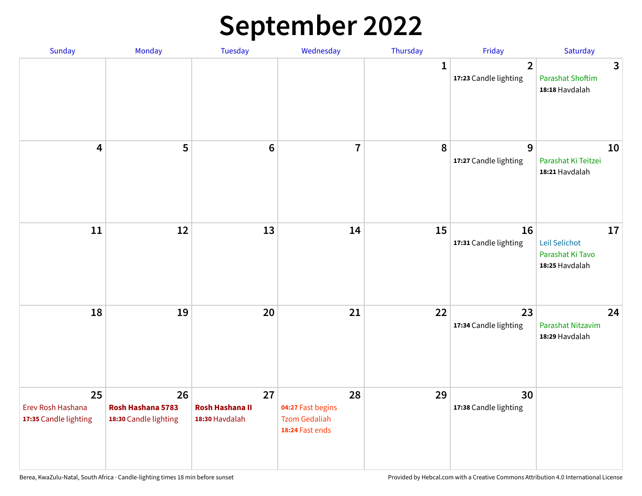## **September 2022**

| Sunday                                           | Monday                                           | Tuesday                                        | Wednesday                                                          | Thursday     | Friday                                  | Saturday                                                  |
|--------------------------------------------------|--------------------------------------------------|------------------------------------------------|--------------------------------------------------------------------|--------------|-----------------------------------------|-----------------------------------------------------------|
|                                                  |                                                  |                                                |                                                                    | $\mathbf{1}$ | $\overline{2}$<br>17:23 Candle lighting | 3<br><b>Parashat Shoftim</b><br>18:18 Havdalah            |
| $\overline{\mathbf{4}}$                          | 5                                                | $6\phantom{1}6$                                | $\overline{7}$                                                     | 8            | 9<br>17:27 Candle lighting              | 10<br>Parashat Ki Teitzei<br>18:21 Havdalah               |
| $11\,$                                           | 12                                               | 13                                             | 14                                                                 | 15           | 16<br>17:31 Candle lighting             | 17<br>Leil Selichot<br>Parashat Ki Tavo<br>18:25 Havdalah |
| 18                                               | 19                                               | 20                                             | 21                                                                 | 22           | 23<br>17:34 Candle lighting             | 24<br>Parashat Nitzavim<br>18:29 Havdalah                 |
| 25<br>Erev Rosh Hashana<br>17:35 Candle lighting | 26<br>Rosh Hashana 5783<br>18:30 Candle lighting | 27<br><b>Rosh Hashana II</b><br>18:30 Havdalah | 28<br>04:27 Fast begins<br><b>Tzom Gedaliah</b><br>18:24 Fast ends | 29           | 30<br>17:38 Candle lighting             |                                                           |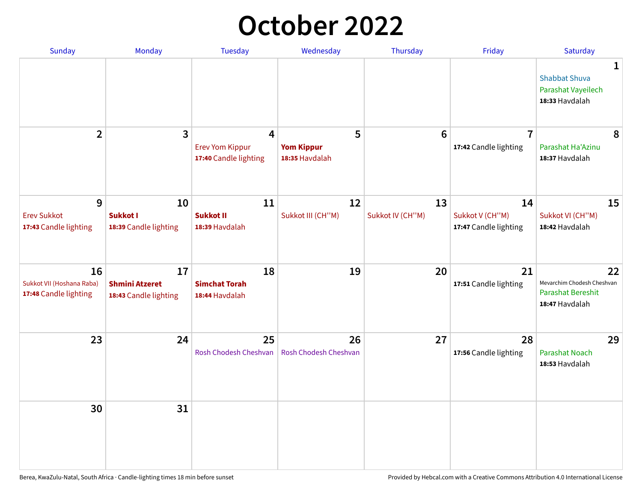## **October 2022**

| Sunday                                                   | Monday                                               | <b>Tuesday</b>                                                    | Wednesday                                | Thursday               | Friday                                         | Saturday                                                                       |
|----------------------------------------------------------|------------------------------------------------------|-------------------------------------------------------------------|------------------------------------------|------------------------|------------------------------------------------|--------------------------------------------------------------------------------|
|                                                          |                                                      |                                                                   |                                          |                        |                                                | $\mathbf 1$<br><b>Shabbat Shuva</b><br>Parashat Vayeilech<br>18:33 Havdalah    |
| $\overline{2}$                                           | $\mathbf{3}$                                         | $\overline{4}$<br><b>Erev Yom Kippur</b><br>17:40 Candle lighting | 5<br><b>Yom Kippur</b><br>18:35 Havdalah | 6                      | $\overline{7}$<br>17:42 Candle lighting        | 8<br>Parashat Ha'Azinu<br>18:37 Havdalah                                       |
| 9<br><b>Erev Sukkot</b><br>17:43 Candle lighting         | 10<br><b>Sukkot I</b><br>18:39 Candle lighting       | 11<br><b>Sukkot II</b><br>18:39 Havdalah                          | 12<br>Sukkot III (CH"M)                  | 13<br>Sukkot IV (CH"M) | 14<br>Sukkot V (CH"M)<br>17:47 Candle lighting | 15<br>Sukkot VI (CH"M)<br>18:42 Havdalah                                       |
| 16<br>Sukkot VII (Hoshana Raba)<br>17:48 Candle lighting | 17<br><b>Shmini Atzeret</b><br>18:43 Candle lighting | 18<br><b>Simchat Torah</b><br>18:44 Havdalah                      | 19                                       | 20                     | 21<br>17:51 Candle lighting                    | 22<br>Mevarchim Chodesh Cheshvan<br><b>Parashat Bereshit</b><br>18:47 Havdalah |
| 23                                                       | 24                                                   | 25<br>Rosh Chodesh Cheshvan                                       | 26<br>Rosh Chodesh Cheshvan              | 27                     | 28<br>17:56 Candle lighting                    | 29<br>Parashat Noach<br>18:53 Havdalah                                         |
| 30                                                       | 31                                                   |                                                                   |                                          |                        |                                                |                                                                                |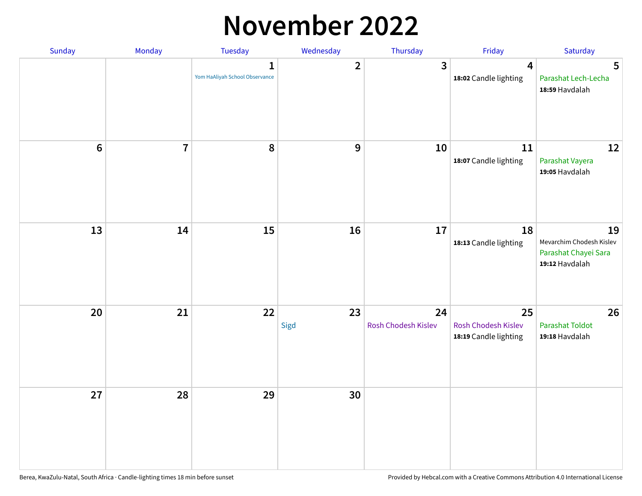## **November 2022**

| Sunday         | Monday                  | <b>Tuesday</b>                                 | Wednesday        | Thursday                  | Friday                                             | Saturday                                                                 |
|----------------|-------------------------|------------------------------------------------|------------------|---------------------------|----------------------------------------------------|--------------------------------------------------------------------------|
|                |                         | $\mathbf{1}$<br>Yom HaAliyah School Observance | $\overline{2}$   | $\mathbf{3}$              | $\overline{\mathbf{4}}$<br>18:02 Candle lighting   | 5<br>Parashat Lech-Lecha<br>18:59 Havdalah                               |
| $6\phantom{a}$ | $\overline{\mathbf{7}}$ | 8                                              | $\boldsymbol{9}$ | 10                        | 11<br>18:07 Candle lighting                        | 12<br>Parashat Vayera<br>19:05 Havdalah                                  |
| 13             | 14                      | 15                                             | 16               | 17                        | 18<br>18:13 Candle lighting                        | 19<br>Mevarchim Chodesh Kislev<br>Parashat Chayei Sara<br>19:12 Havdalah |
| 20             | 21                      | 22                                             | 23<br>Sigd       | 24<br>Rosh Chodesh Kislev | 25<br>Rosh Chodesh Kislev<br>18:19 Candle lighting | 26<br>Parashat Toldot<br>19:18 Havdalah                                  |
| 27             | 28                      | 29                                             | 30               |                           |                                                    |                                                                          |